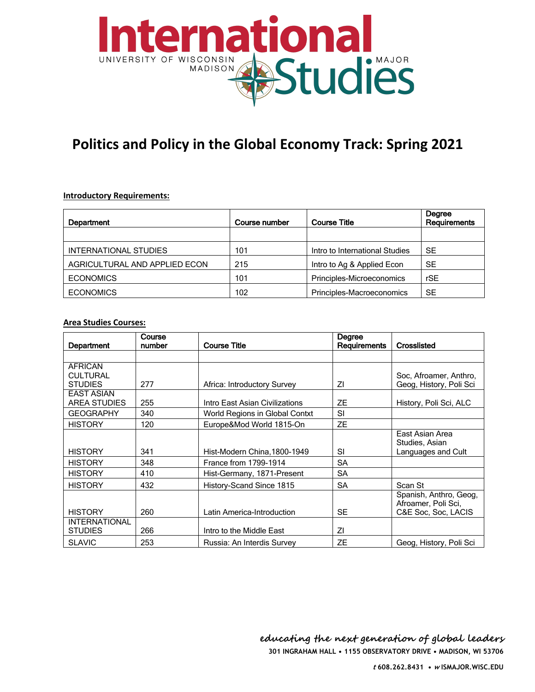

# **Politics and Policy in the Global Economy Track: Spring 2021**

#### **Introductory Requirements:**

| Department                    | <b>Course number</b> | <b>Course Title</b>            | Degree<br>Requirements |
|-------------------------------|----------------------|--------------------------------|------------------------|
|                               |                      |                                |                        |
| INTERNATIONAL STUDIES         | 101                  | Intro to International Studies | <b>SE</b>              |
| AGRICULTURAL AND APPLIED ECON | 215                  | Intro to Ag & Applied Econ     | <b>SE</b>              |
| <b>ECONOMICS</b>              | 101                  | Principles-Microeconomics      | rSE                    |
| <b>ECONOMICS</b>              | 102                  | Principles-Macroeconomics      | <b>SE</b>              |

### **Area Studies Courses:**

| Department                                          | Course<br>number | <b>Course Title</b>            | Degree<br>Requirements | Crosslisted                                                          |
|-----------------------------------------------------|------------------|--------------------------------|------------------------|----------------------------------------------------------------------|
|                                                     |                  |                                |                        |                                                                      |
| <b>AFRICAN</b><br><b>CULTURAL</b><br><b>STUDIES</b> | 277              | Africa: Introductory Survey    | ΖI                     | Soc, Afroamer, Anthro,<br>Geog, History, Poli Sci                    |
| <b>EAST ASIAN</b><br>AREA STUDIES                   | 255              | Intro East Asian Civilizations | ZΕ                     | History, Poli Sci, ALC                                               |
| <b>GEOGRAPHY</b>                                    | 340              | World Regions in Global Contxt | <b>SI</b>              |                                                                      |
| <b>HISTORY</b>                                      | 120              | Europe&Mod World 1815-On       | <b>ZE</b>              |                                                                      |
| <b>HISTORY</b>                                      | 341              | Hist-Modern China, 1800-1949   | <b>SI</b>              | East Asian Area<br>Studies, Asian<br>Languages and Cult              |
| <b>HISTORY</b>                                      | 348              | France from 1799-1914          | <b>SA</b>              |                                                                      |
| <b>HISTORY</b>                                      | 410              | Hist-Germany, 1871-Present     | <b>SA</b>              |                                                                      |
| <b>HISTORY</b>                                      | 432              | History-Scand Since 1815       | <b>SA</b>              | Scan St                                                              |
| <b>HISTORY</b>                                      | 260              | Latin America-Introduction     | <b>SE</b>              | Spanish, Anthro, Geog,<br>Afroamer, Poli Sci,<br>C&E Soc, Soc, LACIS |
| <b>INTERNATIONAL</b><br><b>STUDIES</b>              | 266              | Intro to the Middle East       | ΖI                     |                                                                      |
| <b>SLAVIC</b>                                       | 253              | Russia: An Interdis Survey     | ZΕ                     | Geog, History, Poli Sci                                              |

**301 INGRAHAM HALL • 1155 OBSERVATORY DRIVE • MADISON, WI 53706 educating the next generation of global leaders**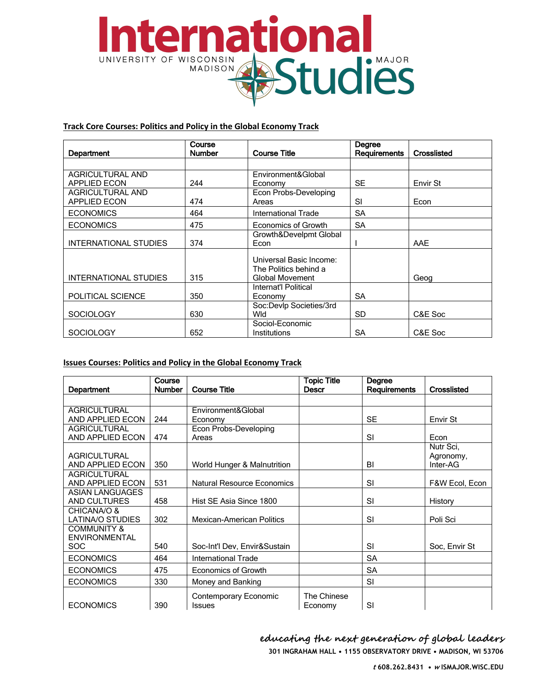

# Track Core Courses: Politics and Policy in the Global Economy Track

| Department              | Course<br>Number | <b>Course Title</b>     | Degree<br><b>Requirements</b> | Crosslisted |
|-------------------------|------------------|-------------------------|-------------------------------|-------------|
|                         |                  |                         |                               |             |
|                         |                  |                         |                               |             |
| <b>AGRICULTURAL AND</b> |                  | Environment&Global      |                               |             |
| <b>APPLIED ECON</b>     | 244              | Economy                 | <b>SE</b>                     | Envir St    |
| <b>AGRICULTURAL AND</b> |                  | Econ Probs-Developing   |                               |             |
| <b>APPLIED ECON</b>     | 474              | Areas                   | SI                            | Econ        |
| <b>ECONOMICS</b>        | 464              | International Trade     | <b>SA</b>                     |             |
| <b>ECONOMICS</b>        | 475              | Economics of Growth     | <b>SA</b>                     |             |
|                         |                  | Growth&Develpmt Global  |                               |             |
| INTERNATIONAL STUDIES   | 374              | Econ                    |                               | AAE         |
|                         |                  | Universal Basic Income: |                               |             |
|                         |                  | The Politics behind a   |                               |             |
| INTERNATIONAL STUDIES   | 315              | <b>Global Movement</b>  |                               | Geog        |
|                         |                  | Internat'l Political    |                               |             |
| POLITICAL SCIENCE       | 350              | Economy                 | <b>SA</b>                     |             |
|                         |                  | Soc:Devlp Societies/3rd |                               |             |
| <b>SOCIOLOGY</b>        | 630              | Wld                     | <b>SD</b>                     | C&E Soc     |
|                         |                  | Sociol-Economic         |                               |             |
| <b>SOCIOLOGY</b>        | 652              | Institutions            | <b>SA</b>                     | C&E Soc     |

# **Issues Courses: Politics and Policy in the Global Economy Track**

| Department                                                   | Course<br><b>Number</b> | <b>Course Title</b>                    | <b>Topic Title</b><br><b>Descr</b> | Degree<br><b>Requirements</b> | <b>Crosslisted</b>                 |
|--------------------------------------------------------------|-------------------------|----------------------------------------|------------------------------------|-------------------------------|------------------------------------|
|                                                              |                         |                                        |                                    |                               |                                    |
| <b>AGRICULTURAL</b>                                          |                         | Environment&Global                     |                                    |                               |                                    |
| AND APPLIED ECON                                             | 244                     | Economy                                |                                    | <b>SE</b>                     | Envir St                           |
| <b>AGRICULTURAL</b>                                          |                         | Econ Probs-Developing                  |                                    |                               |                                    |
| AND APPLIED ECON                                             | 474                     | Areas                                  |                                    | SI                            | Econ                               |
| <b>AGRICULTURAL</b><br>AND APPLIED ECON                      | 350                     | World Hunger & Malnutrition            |                                    | BI                            | Nutr Sci,<br>Agronomy,<br>Inter-AG |
| <b>AGRICULTURAL</b><br>AND APPLIED ECON                      | 531                     | <b>Natural Resource Economics</b>      |                                    | SI                            | F&W Ecol, Econ                     |
| <b>ASIAN LANGUAGES</b><br>AND CULTURES                       | 458                     | Hist SE Asia Since 1800                |                                    | SI                            | History                            |
| CHICANA/O &<br>LATINA/O STUDIES                              | 302                     | <b>Mexican-American Politics</b>       |                                    | SI                            | Poli Sci                           |
| <b>COMMUNITY &amp;</b><br><b>ENVIRONMENTAL</b><br><b>SOC</b> | 540                     | Soc-Int'l Dev, Envir&Sustain           |                                    | SI                            | Soc. Envir St                      |
| <b>ECONOMICS</b>                                             | 464                     | International Trade                    |                                    | <b>SA</b>                     |                                    |
| <b>ECONOMICS</b>                                             | 475                     | Economics of Growth                    |                                    | <b>SA</b>                     |                                    |
| <b>ECONOMICS</b>                                             | 330                     | Money and Banking                      |                                    | SI                            |                                    |
| <b>ECONOMICS</b>                                             | 390                     | Contemporary Economic<br><b>Issues</b> | The Chinese<br>Economy             | SI                            |                                    |

educating the next generation of global leaders 301 INGRAHAM HALL . 1155 OBSERVATORY DRIVE . MADISON, WI 53706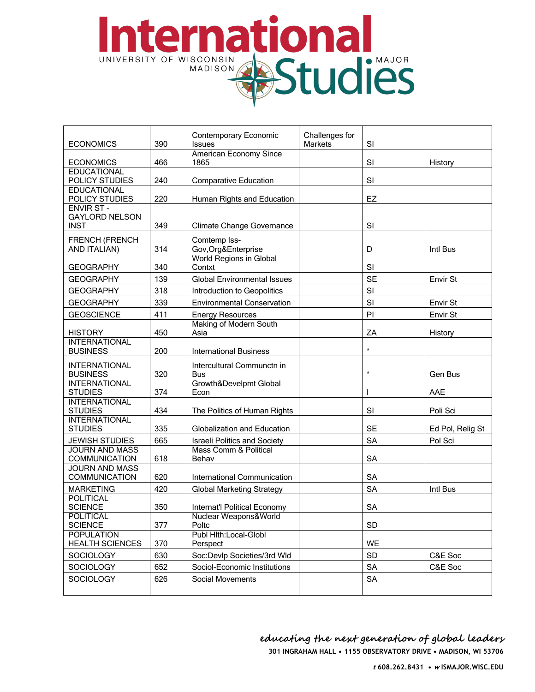# ternational UNIVERSITY OF WISCONSIN STUDIES

| <b>ECONOMICS</b>                                         | 390 | Challenges for<br>Contemporary Economic<br><b>Issues</b><br><b>Markets</b> |  | SI        |                  |
|----------------------------------------------------------|-----|----------------------------------------------------------------------------|--|-----------|------------------|
| <b>ECONOMICS</b>                                         | 466 | <b>American Economy Since</b><br>1865                                      |  | SI        | History          |
| <b>EDUCATIONAL</b><br>POLICY STUDIES                     | 240 | <b>Comparative Education</b>                                               |  | SI        |                  |
| <b>EDUCATIONAL</b><br>POLICY STUDIES                     | 220 | Human Rights and Education                                                 |  | EZ        |                  |
| <b>ENVIR ST-</b><br><b>GAYLORD NELSON</b><br><b>INST</b> | 349 | <b>Climate Change Governance</b>                                           |  | SI        |                  |
| <b>FRENCH (FRENCH</b><br>AND ITALIAN)                    | 314 | Comtemp Iss-<br>Gov, Org&Enterprise                                        |  | D         | Intl Bus         |
| <b>GEOGRAPHY</b>                                         | 340 | World Regions in Global<br>Contxt                                          |  | SI        |                  |
| <b>GEOGRAPHY</b>                                         | 139 | <b>Global Environmental Issues</b>                                         |  | <b>SE</b> | Envir St         |
| <b>GEOGRAPHY</b>                                         | 318 | Introduction to Geopolitics                                                |  | SI        |                  |
| <b>GEOGRAPHY</b>                                         | 339 | <b>Environmental Conservation</b>                                          |  | SI        | Envir St         |
| <b>GEOSCIENCE</b>                                        | 411 | <b>Energy Resources</b>                                                    |  | PI        | Envir St         |
| <b>HISTORY</b>                                           | 450 | Making of Modern South<br>Asia                                             |  | ZA        | History          |
| <b>INTERNATIONAL</b><br><b>BUSINESS</b>                  | 200 | <b>International Business</b>                                              |  | $\star$   |                  |
| <b>INTERNATIONAL</b><br><b>BUSINESS</b>                  | 320 | Intercultural Communctn in<br><b>Bus</b>                                   |  | $\star$   | Gen Bus          |
| <b>INTERNATIONAL</b><br><b>STUDIES</b>                   | 374 | Growth&Develpmt Global<br>Econ                                             |  |           | AAE              |
| <b>INTERNATIONAL</b><br><b>STUDIES</b>                   | 434 | The Politics of Human Rights                                               |  | SI        | Poli Sci         |
| <b>INTERNATIONAL</b><br><b>STUDIES</b>                   | 335 | Globalization and Education                                                |  | <b>SE</b> | Ed Pol, Relig St |
| <b>JEWISH STUDIES</b>                                    | 665 | <b>Israeli Politics and Society</b>                                        |  | <b>SA</b> | Pol Sci          |
| <b>JOURN AND MASS</b><br><b>COMMUNICATION</b>            | 618 | Mass Comm & Political<br>Behav                                             |  | <b>SA</b> |                  |
| <b>JOURN AND MASS</b><br><b>COMMUNICATION</b>            | 620 | International Communication                                                |  | <b>SA</b> |                  |
| <b>MARKETING</b>                                         | 420 | <b>Global Marketing Strategy</b>                                           |  | <b>SA</b> | Intl Bus         |
| <b>POLITICAL</b><br><b>SCIENCE</b>                       | 350 | Internat'l Political Economy                                               |  | <b>SA</b> |                  |
| <b>POLITICAL</b><br><b>SCIENCE</b>                       | 377 | Nuclear Weapons&World<br>Poltc                                             |  | <b>SD</b> |                  |
| <b>POPULATION</b><br><b>HEALTH SCIENCES</b>              | 370 | Publ Hlth:Local-Globl<br>Perspect                                          |  | WE        |                  |
| <b>SOCIOLOGY</b>                                         | 630 | Soc:Devlp Societies/3rd Wld                                                |  | <b>SD</b> | C&E Soc          |
| <b>SOCIOLOGY</b>                                         | 652 | Sociol-Economic Institutions                                               |  | <b>SA</b> | C&E Soc          |
| SOCIOLOGY                                                | 626 | Social Movements                                                           |  | <b>SA</b> |                  |

educating the next generation of global leaders 301 INGRAHAM HALL . 1155 OBSERVATORY DRIVE . MADISON, WI 53706